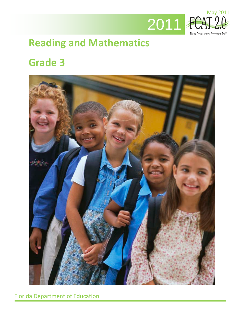

# **Reading and Mathematics**

# **Grade 3**



Florida Department of Education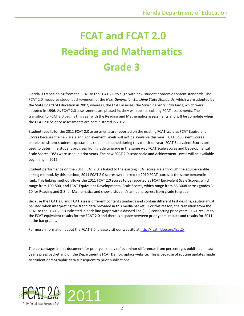# **FCAT and FCAT 2.0 Reading and Mathematics Grade 3**

Florida is transitioning from the FCAT to the FCAT 2.0 to align with new student academic content standards. The FCAT 2.0 measures student achievement of the *Next Generation Sunshine State Standards*, which were adopted by the State Board of Education in 2007; whereas, the FCAT assesses the *Sunshine State Standards*, which were adopted in 1996. As FCAT 2.0 assessments are phased in, they will replace existing FCAT assessments. The transition to FCAT 2.0 begins this year with the Reading and Mathematics assessments and will be complete when the FCAT 2.0 Science assessments are administered in 2012.

Student results for the 2011 FCAT 2.0 assessments are reported on the existing FCAT scale as FCAT Equivalent Scores because the new scale and Achievement Levels will not be available this year. FCAT Equivalent Scores enable consistent student expectations to be maintained during this transition year. FCAT Equivalent Scores are used to determine student progress from grade to grade in the same way FCAT Scale Scores and Developmental Scale Scores (DSS) were used in prior years. The new FCAT 2.0 score scale and Achievement Levels will be available beginning in 2012.

Student performance on the 2011 FCAT 2.0 is linked to the existing FCAT score scale through the equipercentile linking method. By this method, 2011 FCAT 2.0 scores were linked to 2010 FCAT scores at the same percentile rank. This linking method allows the 2011 FCAT 2.0 scores to be reported as FCAT Equivalent Scale Scores, which range from 100-500, and FCAT Equivalent Developmental Scale Scores, which range from 86-3008 across grades 3- 10 for Reading and 3-8 for Mathematics and show a student's annual progress from grade to grade.

Because the FCAT 2.0 and FCAT assess different content standards and contain different test designs, caution must be used when interpreting the trend data provided in this media packet. For this reason, the transition from the FCAT to the FCAT 2.0 is indicated in each line graph with a dashed line (- - -) connecting prior years' FCAT results to the FCAT equivalent results for the FCAT 2.0 and there is a space between prior years' results and results for 2011 in the bar graphs.

For more information about the FCAT 2.0, please visit our website a[t http://fcat.fldoe.org/fcat2/.](http://fcat.fldoe.org/fcat2/)

The percentages in this document for prior years may reflect minor differences from percentages published in last year's press packet and on the Department's FCAT Demographics website. This is because of routine updates made to student demographic data subsequent to prior publications.



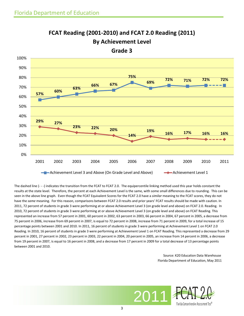

**FCAT Reading (2001-2010) and FCAT 2.0 Reading (2011) By Achievement Level** 

**Grade 3**

The dashed line (- - -) indicates the transition from the FCAT to FCAT 2.0. The equipercentile linking method used this year holds constant the results at the state level. Therefore, the percent at each Achievement Level is the same, with some small differences due to rounding. This can be seen in the above line graph. Even though the FCAT Equivalent Scores for the FCAT 2.0 have a *similar* meaning to the FCAT scores, they do not have the *same* meaning. For this reason, comparisons between FCAT 2.0 results and prior years' FCAT results should be made with caution. In 2011, 72 percent of students in grade 3 were performing at or above Achievement Level 3 (on grade level and above) on FCAT 2.0. Reading. In 2010, 72 percent of students in grade 3 were performing at or above Achievement Level 3 (on grade level and above) on FCAT Reading. This represented an increase from 57 percent in 2001, 60 percent in 2002, 63 percent in 2003, 66 percent in 2004, 67 percent in 2005, a decrease from 75 percent in 2006, increase from 69 percent in 2007, is equal to 72 percent in 2008, increase from 71 percent in 2009, for a total increase of 15 percentage points between 2001 and 2010. In 2011, 16 percent of students in grade 3 were performing at Achievement Level 1 on FCAT 2.0 Reading. In 2010, 16 percent of students in grade 3 were performing at Achievement Level 1 on FCAT Reading. This represented a decrease from 29 percent in 2001, 27 percent in 2002, 23 percent in 2003, 22 percent in 2004, 20 percent in 2005, an increase from 14 percent in 2006, a decrease from 19 percent in 2007, is equal to 16 percent in 2008, and a decrease from 17 percent in 2009 for a total decrease of 13 percentage points between 2001 and 2010.

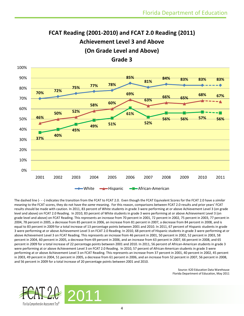### **FCAT Reading (2001-2010) and FCAT 2.0 Reading (2011) Achievement Level 3 and Above (On Grade Level and Above)**



**Grade 3**

The dashed line (- - -) indicates the transition from the FCAT to FCAT 2.0. Even though the FCAT Equivalent Scores for the FCAT 2.0 have a *similar*  meaning to the FCAT scores, they do not have the *same* meaning. For this reason, comparisons between FCAT 2.0 results and prior years' FCAT results should be made with caution. In 2011, 83 percent of White students in grade 3 were performing at or above Achievement Level 3 (on grade level and above) on FCAT 2.0 Reading. In 2010, 83 percent of White students in grade 3 were performing at or above Achievement Level 3 (on grade level and above) on FCAT Reading. This represents an increase from 70 percent in 2001, 72 percent in 2002, 75 percent in 2003, 77 percent in 2004, 78 percent in 2005, a decrease from 85 percent in 2006, an increase from 81 percent in 2007, a decrease from 84 percent in 2008, and is equal to 83 percent in 2009 for a total increase of 13 percentage points between 2001 and 2010. In 2011, 67 percent of Hispanic students in grade 3 were performing at or above Achievement Level 3 on FCAT 2.0 Reading. In 2010, 68 percent of Hispanic students in grade 3 were performing at or above Achievement Level 3 on FCAT Reading. This represents an increase from 46 percent in 2001, 50 percent in 2002, 52 percent in 2003, 58 percent in 2004, 60 percent in 2005, a decrease from 69 percent in 2006, and an increase from 63 percent in 2007, 66 percent in 2008, and 65 percent in 2009 for a total increase of 22 percentage points between 2001 and 2010. In 2011, 56 percent of African-American students in grade 3 were performing at or above Achievement Level 3 on FCAT 2.0 Reading. In 2010, 57 percent of African-American students in grade 3 were performing at or above Achievement Level 3 on FCAT Reading. This represents an increase from 37 percent in 2001, 40 percent in 2002, 45 percent in 2003, 49 percent in 2004, 51 percent in 2005, a decrease from 61 percent in 2006, and an increase from 52 percent in 2007, 56 percent in 2008, and 56 percent in 2009 for a total increase of 20 percentage points between 2001 and 2010.

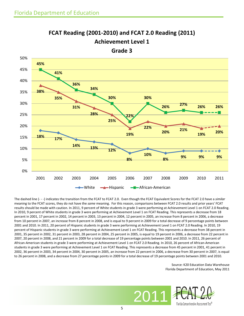

**FCAT Reading (2001-2010) and FCAT 2.0 Reading (2011) Achievement Level 1**

The dashed line (- - -) indicates the transition from the FCAT to FCAT 2.0. Even though the FCAT Equivalent Scores for the FCAT 2.0 have a *similar*  meaning to the FCAT scores, they do not have the *same* meaning. For this reason, comparisons between FCAT 2.0 results and prior years' FCAT results should be made with caution. In 2011, 9 percent of White students in grade 3 were performing at Achievement Level 1 on FCAT 2.0 Reading. In 2010, 9 percent of White students in grade 3 were performing at Achievement Level 1 on FCAT Reading. This represents a decrease from 18 percent in 2001, 17 percent in 2002, 14 percent in 2003, 13 percent in 2004, 12 percent in 2005, an increase from 8 percent in 2006, a decrease from 10 percent in 2007, an increase from 8 percent in 2008, and is equal to 9 percent in 2009 for a total decrease of 9 percentage points between 2001 and 2010. In 2011, 20 percent of Hispanic students in grade 3 were performing at Achievement Level 1 on FCAT 2.0 Reading. In 2010, 19 percent of Hispanic students in grade 3 were performing at Achievement Level 1 on FCAT Reading. This represents a decrease from 38 percent in 2001, 35 percent in 2002, 31 percent in 2003, 28 percent in 2004, 25 percent in 2005, is equal to 19 percent in 2006, a decrease from 22 percent in 2007, 20 percent in 2008, and 21 percent in 2009 for a total decrease of 19 percentage points between 2001 and 2010. In 2011, 26 percent of African-American students in grade 3 were performing at Achievement Level 1 on FCAT 2.0 Reading. In 2010, 26 percent of African-American students in grade 3 were performing at Achievement Level 1 on FCAT Reading. This represents a decrease from 45 percent in 2001, 41 percent in 2002, 36 percent in 2003, 34 percent in 2004, 30 percent in 2005, an increase from 22 percent in 2006, a decrease from 30 percent in 2007, is equal to 26 percent in 2008, and a decrease from 27 percentage points in 2009 for a total decrease of 19 percentage points between 2001 and 2010.

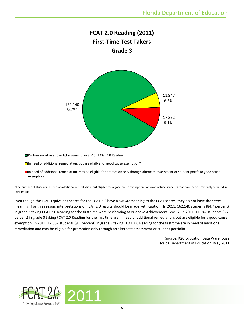

Performing at or above Achievement Level 2 on FCAT 2.0 Reading

 $\Box$  In need of additional remediation, but are eligible for good cause exemption\*

In need of additional remediation, may be eligible for promotion only through alternate assessment or student portfolio good cause exemption

\*The number of students in need of additional remediation, but eligible for a good cause exemption does not include students that have been previously retained in third grade

Even though the FCAT Equivalent Scores for the FCAT 2.0 have a *similar* meaning to the FCAT scores, they do not have the *same*  meaning. For this reason, interpretations of FCAT 2.0 results should be made with caution. In 2011, 162,140 students (84.7 percent) in grade 3 taking FCAT 2.0 Reading for the first time were performing at or above Achievement Level 2. In 2011, 11,947 students (6.2 percent) in grade 3 taking FCAT 2.0 Reading for the first time are in need of additional remediation, but are eligible for a good cause exemption. In 2011, 17,352 students (9.1 percent) in grade 3 taking FCAT 2.0 Reading for the first time are in need of additional remediation and may be eligible for promotion only through an alternate assessment or student portfolio.

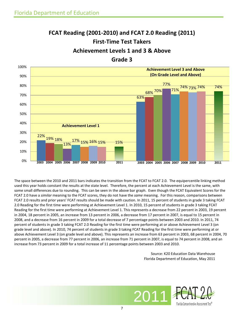# **FCAT Reading (2001-2010) and FCAT 2.0 Reading (2011) First-Time Test Takers Achievement Levels 1 and 3 & Above**



The space between the 2010 and 2011 bars indicates the transition from the FCAT to FCAT 2.0. The equipercentile linking method used this year holds constant the results at the state level. Therefore, the percent at each Achievement Level is the same, with some small differences due to rounding. This can be seen in the above bar graph. Even though the FCAT Equivalent Scores for the FCAT 2.0 have a *similar* meaning to the FCAT scores, they do not have the *same* meaning. For this reason, comparisons between FCAT 2.0 results and prior years' FCAT results should be made with caution. In 2011, 15 percent of students in grade 3 taking FCAT 2.0 Reading for the first time were performing at Achievement Level 1. In 2010, 15 percent of students in grade 3 taking FCAT Reading for the first time were performing at Achievement Level 1. This represents a decrease from 22 percent in 2003, 19 percent in 2004, 18 percent in 2005, an increase from 13 percent in 2006, a decrease from 17 percent in 2007, is equal to 15 percent in 2008, and a decrease from 16 percent in 2009 for a total decrease of 7 percentage points between 2003 and 2010. In 2011, 74 percent of students in grade 3 taking FCAT 2.0 Reading for the first time were performing at or above Achievement Level 3 (on grade level and above). In 2010, 74 percent of students in grade 3 taking FCAT Reading for the first time were performing at or above Achievement Level 3 (on grade level and above). This represents an increase from 63 percent in 2003, 68 percent in 2004, 70 percent in 2005, a decrease from 77 percent in 2006, an increase from 71 percent in 2007, is equal to 74 percent in 2008, and an increase from 73 percent in 2009 for a total increase of 11 percentage points between 2003 and 2010.

7

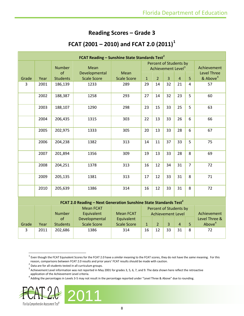### **Reading Scores – Grade 3**

### **FCAT (2001 – 2010) and FCAT 2.0 (2011)[1](#page-7-0)**

| <b>FCAT Reading - Sunshine State Standards Test<sup>2</sup></b> |      |                     |                       |                    |                                                          |                |                |                |                |                                   |
|-----------------------------------------------------------------|------|---------------------|-----------------------|--------------------|----------------------------------------------------------|----------------|----------------|----------------|----------------|-----------------------------------|
|                                                                 |      | <b>Number</b><br>of | Mean<br>Developmental | Mean               | Percent of Students by<br>Achievement Level <sup>3</sup> |                |                |                |                | Achievement<br><b>Level Three</b> |
| Grade                                                           | Year | <b>Students</b>     | <b>Scale Score</b>    | <b>Scale Score</b> | $\mathbf{1}$                                             | $\overline{2}$ | $\overline{3}$ | $\overline{4}$ | 5              | & Above <sup>4</sup>              |
| 3                                                               | 2001 | 186,139             | 1233                  | 289                | 29                                                       | 14             | 32             | 21             | 4              | 57                                |
|                                                                 | 2002 | 188,387             | 1258                  | 293                | 27                                                       | 14             | 32             | 23             | 5              | 60                                |
|                                                                 | 2003 | 188,107             | 1290                  | 298                | 23                                                       | 15             | 33             | 25             | 5              | 63                                |
|                                                                 | 2004 | 206,435             | 1315                  | 303                | 22                                                       | 13             | 33             | 26             | 6              | 66                                |
|                                                                 | 2005 | 202,975             | 1333                  | 305                | 20                                                       | 13             | 33             | 28             | 6              | 67                                |
|                                                                 | 2006 | 204,238             | 1382                  | 313                | 14                                                       | 11             | 37             | 33             | 5              | 75                                |
|                                                                 | 2007 | 201,894             | 1356                  | 309                | 19                                                       | 13             | 33             | 28             | 8              | 69                                |
|                                                                 | 2008 | 204,251             | 1378                  | 313                | 16                                                       | 12             | 34             | 31             | $\overline{7}$ | 72                                |
|                                                                 | 2009 | 205,135             | 1381                  | 313                | 17                                                       | 12             | 33             | 31             | 8              | 71                                |
|                                                                 | 2010 | 205,639             | 1386                  | 314                | 16                                                       | 12             | 33             | 31             | 8              | 72                                |
|                                                                 |      |                     |                       |                    |                                                          |                |                |                |                |                                   |

#### **FCAT 2.0 Reading – Next Generation Sunshine State Standards Test<sup>2</sup>**

|       |      | <b>Number</b>   | <b>Mean FCAT</b><br>Equivalent | <b>Mean FCAT</b>   | Percent of Students by<br><b>Achievement Level</b> |    |    |                |   | Achievement   |
|-------|------|-----------------|--------------------------------|--------------------|----------------------------------------------------|----|----|----------------|---|---------------|
|       |      | οf              | Developmental                  | Equivalent         |                                                    |    |    |                |   | Level Three & |
| Grade | Year | <b>Students</b> | <b>Scale Score</b>             | <b>Scale Score</b> | $\mathbf{1}$                                       |    | 3  | $\overline{4}$ |   | Above $4$     |
|       | 2011 | 202,686         | 1386                           | 314                | 16                                                 | 12 | 33 | 31             | 8 | 72            |
|       |      |                 |                                |                    |                                                    |    |    |                |   |               |

<span id="page-7-3"></span><span id="page-7-2"></span><span id="page-7-1"></span><span id="page-7-0"></span><sup>&</sup>lt;sup>4</sup> Adding the percentages in Levels 3-5 may not result in the percentage reported under "Level Three & Above" due to rounding.



 <sup>1</sup> Even though the FCAT Equivalent Scores for the FCAT 2.0 have a *similar* meaning to the FCAT scores, they do not have the *same* meaning. For this reason, comparisons between FCAT 2.0 results and prior years' FCAT results should be made with caution.

 $2$  Data are for all students tested in all curriculum groups.

 $3$  Achievement Level information was not reported in May 2001 for grades 3, 5, 6, 7, and 9. The data shown here reflect the retroactive application of the Achievement Level criteria.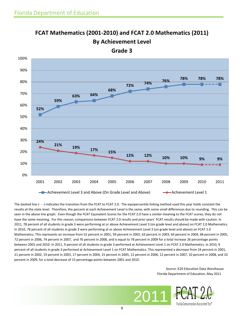# **FCAT Mathematics (2001-2010) and FCAT 2.0 Mathematics (2011) By Achievement Level**



**Grade 3**

The dashed line (- - -) indicates the transition from the FCAT to FCAT 2.0. The equipercentile linking method used this year holds constant the results at the state level. Therefore, the percent at each Achievement Level is the same, with some small differences due to rounding. This can be seen in the above line graph. Even though the FCAT Equivalent Scores for the FCAT 2.0 have a *similar* meaning to the FCAT scores, they do not have the *same* meaning. For this reason, comparisons between FCAT 2.0 results and prior years' FCAT results should be made with caution. In 2011, 78 percent of all students in grade 3 were performing at or above Achievement Level 3 (on grade level and above) on FCAT 2.0 Mathematics. In 2010, 78 percent of all students in grade 3 were performing at or above Achievement Level 3 (on grade level and above) on FCAT 2.0 Mathematics. This represents an increase from 52 percent in 2001, 59 percent in 2002, 63 percent in 2003, 64 percent in 2004, 68 percent in 2005, 72 percent in 2006, 74 percent in 2007, and 76 percent in 2008, and is equal to 78 percent in 2009 for a total increase 26 percentage points between 2001 and 2010. In 2011, 9 percent of all students in grade 3 performed at Achievement Level 1 on FCAT 2.0 Mathematics. In 2010, 9 percent of all students in grade 3 performed at Achievement Level 1 on FCAT Mathematics. This represented a decrease from 24 percent in 2001, 21 percent in 2002, 19 percent in 2003, 17 percent in 2004, 15 percent in 2005, 12 percent in 2006, 12 percent in 2007, 10 percent in 2008, and 10 percent in 2009, for a total decrease of 15 percentage points between 2001 and 2010.

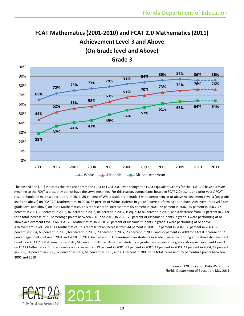### **FCAT Mathematics (2001-2010) and FCAT 2.0 Mathematics (2011) Achievement Level 3 and Above (On Grade level and Above)**



**Grade 3**

The dashed line (- - -) indicates the transition from the FCAT to FCAT 2.0. Even though the FCAT Equivalent Scores for the FCAT 2.0 have a *similar*  meaning to the FCAT scores, they do not have the *same* meaning. For this reason, comparisons between FCAT 2.0 results and prior years' FCAT results should be made with caution. In 2011, 86 percent of White students in grade 3 were performing at or above Achievement Level 3 (on grade level and above) on FCAT 2.0 Mathematics. In 2010, 86 percent of White students in grade 3 were performing at or above Achievement Level 3 (on grade level and above) on FCAT Mathematics. This represents an increase from 65 percent in 2001, 72 percent in 2002, 75 percent in 2003, 77 percent in 2004, 79 percent in 2005, 82 percent in 2006, 84 percent in 2007, is equal to 86 percent in 2008, and a decrease from 87 percent in 2009 for a total increase of 21 percentage points between 2001 and 2010. In 2011, 76 percent of Hispanic students in grade 3 were performing at or above Achievement Level 3 on FCAT 2.0 Mathematics. In 2010, 76 percent of Hispanic students in grade 3 were performing at or above Achievement Level 3 on FCAT Mathematics. This represents an increase from 44 percent in 2001, 52 percent in 2002, 56 percent in 2003, 58 percent in 2004, 63 percent in 2005, 68 percent in 2006, 70 percent in 2007, 73 percent in 2008, and 75 percent in 2009 for a total increase of 32 percentage points between 2001 and 2010. In 2011, 64 percent of African-American students in grade 3 were performing at or above Achievement Level 3 on FCAT 2.0 Mathematics. In 2010, 64 percent of African-American students in grade 3 were performing at or above Achievement Level 3 on FCAT Mathematics. This represents an increase from 29 percent in 2001, 37 percent in 2002, 41 percent in 2003, 43 percent in 2004, 49 percent in 2005, 54 percent in 2006, 57 percent in 2007, 61 percent in 2008, and 63 percent in 2009 for a total increase of 35 percentage points between 2001 and 2010

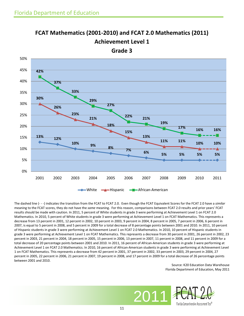

# **FCAT Mathematics (2001-2010) and FCAT 2.0 Mathematics (2011) Achievement Level 1**

The dashed line (- - -) indicates the transition from the FCAT to FCAT 2.0. Even though the FCAT Equivalent Scores for the FCAT 2.0 have a *similar*  meaning to the FCAT scores, they do not have the *same* meaning. For this reason, comparisons between FCAT 2.0 results and prior years' FCAT results should be made with caution. In 2011, 5 percent of White students in grade 3 were performing at Achievement Level 1 on FCAT 2.0 Mathematics. In 2010, 5 percent of White students in grade 3 were performing at Achievement Level 1 on FCAT Mathematics. This represents a decrease from 13 percent in 2001, 12 percent in 2002, 10 percent in 2003, 9 percent in 2004, 8 percent in 2005, 7 percent in 2006, 6 percent in 2007, is equal to 5 percent in 2008, and 5 percent in 2009 for a total decrease of 8 percentage points between 2001 and 2010. In 2011, 10 percent of Hispanic students in grade 3 were performing at Achievement Level 1 on FCAT 2.0 Mathematics. In 2010, 10 percent of Hispanic students in grade 3 were performing at Achievement Level 1 on FCAT Mathematics. This represents a decrease from 30 percent in 2001, 26 percent in 2002, 23 percent in 2003, 21 percent in 2004, 18 percent in 2005, 15 percent in 2006, 13 percent in 2007, 11 percent in 2008, and 11 percent in 2009 for a total decrease of 20 percentage points between 2001 and 2010. In 2011, 16 percent of African-American students in grade 3 were performing at Achievement Level 1 on FCAT 2.0 Mathematics. In 2010, 16 percent of African-American students in grade 3 were performing at Achievement Level 1 on FCAT Mathematics. This represents a decrease from 42 percent in 2001, 37 percent in 2002, 33 percent in 2003, 29 percent in 2004, 27 percent in 2005, 22 percent in 2006, 21 percent in 2007, 19 percent in 2008, and 17 percent in 2009 for a total decrease of 26 percentage points between 2001 and 2010.

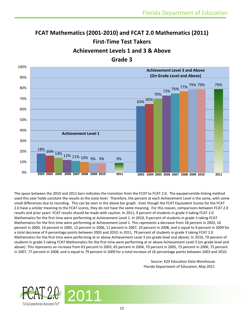## **FCAT Mathematics (2001-2010) and FCAT 2.0 Mathematics (2011) First-Time Test Takers Achievement Levels 1 and 3 & Above**



The space between the 2010 and 2011 bars indicates the transition from the FCAT to FCAT 2.0. The equipercentile linking method used this year holds constant the results at the state level. Therefore, the percent at each Achievement Level is the same, with some small differences due to rounding. This can be seen in the above bar graph. Even though the FCAT Equivalent Scores for the FCAT 2.0 have a *similar* meaning to the FCAT scores, they do not have the *same* meaning. For this reason, comparisons between FCAT 2.0 results and prior years' FCAT results should be made with caution. In 2011, 9 percent of students in grade 3 taking FCAT 2.0 Mathematics for the first time were performing at Achievement Level 1. In 2010, 9 percent of students in grade 3 taking FCAT Mathematics for the first time were performing at Achievement Level 1. This represents a decrease from 18 percent in 2003, 16 percent in 2004, 14 percent in 2005, 12 percent in 2006, 11 percent in 2007, 10 percent in 2008, and is equal to 9 percent in 2009 for a total decrease of 9 percentage points between 2003 and 2010. In 2011, 79 percent of students in grade 3 taking FCAT 2.0 Mathematics for the first time were performing at or above Achievement Level 3 (on grade level and above). In 2010, 79 percent of students in grade 3 taking FCAT Mathematics for the first time were performing at or above Achievement Level 3 (on grade level and above). This represents an increase from 63 percent in 2003, 65 percent in 2004, 70 percent in 2005, 73 percent in 2006, 75 percent in 2007, 77 percent in 2008, and is equal to 79 percent in 2009 for a total increase of 16 percentage points between 2003 and 2010.

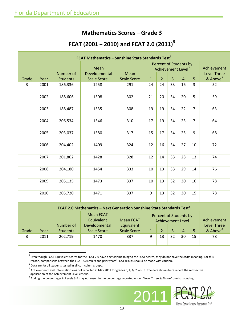### **Mathematics Scores – Grade 3**

### **FCAT (2001 – 2010) and FCAT 2.0 (2011) [5](#page-12-0)**

| FCAT Mathematics - Sunshine State Standards Test <sup>6</sup>                     |      |                              |                                                 |                                |                                                          |                |    |                |                |                                            |
|-----------------------------------------------------------------------------------|------|------------------------------|-------------------------------------------------|--------------------------------|----------------------------------------------------------|----------------|----|----------------|----------------|--------------------------------------------|
|                                                                                   |      |                              | Mean                                            |                                | Percent of Students by<br>Achievement Level <sup>7</sup> |                |    |                |                | Achievement                                |
| Grade                                                                             | Year | Number of<br><b>Students</b> | Developmental<br><b>Scale Score</b>             | Mean<br><b>Scale Score</b>     | $\mathbf{1}$                                             | $\overline{2}$ | 3  | $\overline{4}$ | 5              | <b>Level Three</b><br>& Above <sup>8</sup> |
| $\overline{3}$                                                                    | 2001 | 186,336                      | 1258                                            | 291                            | 24                                                       | 24             | 33 | 16             | 3              | 52                                         |
|                                                                                   | 2002 | 188,606                      | 1308                                            | 302                            | 21                                                       | 20             | 34 | 20             | 5              | 59                                         |
|                                                                                   | 2003 | 188,487                      | 1335                                            | 308                            | 19                                                       | 19             | 34 | 22             | $\overline{7}$ | 63                                         |
|                                                                                   | 2004 | 206,534                      | 1346                                            | 310                            | 17                                                       | 19             | 34 | 23             | $\overline{7}$ | 64                                         |
|                                                                                   | 2005 | 203,037                      | 1380                                            | 317                            | 15                                                       | 17             | 34 | 25             | 9              | 68                                         |
|                                                                                   | 2006 | 204,402                      | 1409                                            | 324                            | 12                                                       | 16             | 34 | 27             | 10             | 72                                         |
|                                                                                   | 2007 | 201,862                      | 1428                                            | 328                            | 12                                                       | 14             | 33 | 28             | 13             | 74                                         |
|                                                                                   | 2008 | 204,180                      | 1454                                            | 333                            | 10                                                       | 13             | 33 | 29             | 14             | 76                                         |
|                                                                                   | 2009 | 205,135                      | 1473                                            | 337                            | 10                                                       | 13             | 32 | 30             | 16             | 78                                         |
|                                                                                   | 2010 | 205,720                      | 1471                                            | 337                            | 9                                                        | 13             | 32 | 30             | 15             | 78                                         |
| FCAT 2.0 Mathematics - Next Generation Sunshine State Standards Test <sup>6</sup> |      |                              |                                                 |                                |                                                          |                |    |                |                |                                            |
|                                                                                   |      | Number of                    | <b>Mean FCAT</b><br>Equivalent<br>Developmental | <b>Mean FCAT</b><br>Equivalent | Percent of Students by<br><b>Achievement Level</b>       |                |    |                |                | Achievement<br><b>Level Three</b>          |
| Grade                                                                             | Year | <b>Students</b>              | <b>Scale Score</b>                              | <b>Scale Score</b>             | $\mathbf{1}$                                             | $\overline{2}$ | 3  | $\overline{4}$ | 5              | & Above <sup>8</sup>                       |

3 2011 202,719 1470 337 9 13 32 30 15 78

<span id="page-12-3"></span>



<span id="page-12-0"></span> <sup>5</sup> Even though FCAT Equivalent scores for the FCAT 2.0 have a *similar* meaning to the FCAT scores, they do not have the *same* meaning. For this reason, comparisons between the FCAT 2.0 results and prior years' FCAT results should be made with caution.<br><sup>6</sup> Data are for all students tested in all curriculum groups.

<span id="page-12-2"></span><span id="page-12-1"></span> $^7$  Achievement Level information was not reported in May 2001 for grades 3, 4, 6, 7, and 9. The data shown here reflect the retroactive application of the Achievement Level criteria.<br><sup>8</sup> Adding the percentages in Levels 3-5 may not result in the percentage reported under "Level Three & Above" due to rounding.